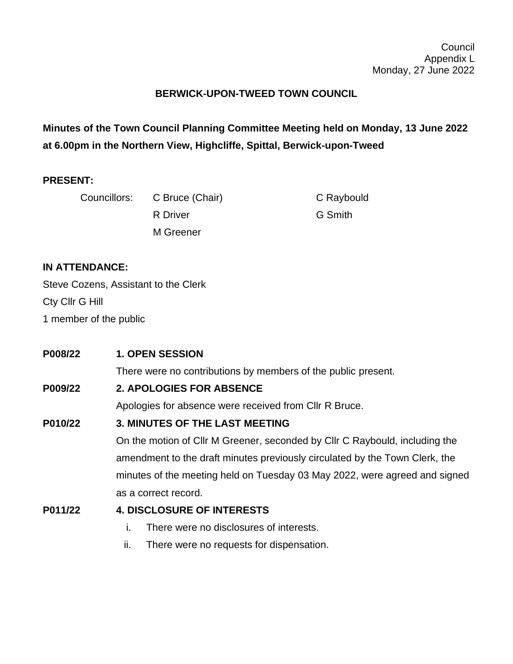## **BERWICK-UPON-TWEED TOWN COUNCIL**

**Minutes of the Town Council Planning Committee Meeting held on Monday, 13 June 2022 at 6.00pm in the Northern View, Highcliffe, Spittal, Berwick-upon-Tweed**

#### **PRESENT:**

|  | Councillors: C Bruce (Chair) | C Raybould |
|--|------------------------------|------------|
|  | R Driver                     | G Smith    |
|  | M Greener                    |            |

## **IN ATTENDANCE:**

Steve Cozens, Assistant to the Clerk Cty Cllr G Hill 1 member of the public

| P008/22 | <b>1. OPEN SESSION</b>                                                      |  |
|---------|-----------------------------------------------------------------------------|--|
|         | There were no contributions by members of the public present.               |  |
| P009/22 | <b>2. APOLOGIES FOR ABSENCE</b>                                             |  |
|         | Apologies for absence were received from CIIr R Bruce.                      |  |
| P010/22 | 3. MINUTES OF THE LAST MEETING                                              |  |
|         | On the motion of Cllr M Greener, seconded by Cllr C Raybould, including the |  |
|         | amendment to the draft minutes previously circulated by the Town Clerk, the |  |
|         | minutes of the meeting held on Tuesday 03 May 2022, were agreed and signed  |  |
|         | as a correct record.                                                        |  |
| P011/22 | <b>4. DISCLOSURE OF INTERESTS</b>                                           |  |
|         | There were no disclosures of interests.<br>Ť.                               |  |

ii. There were no requests for dispensation.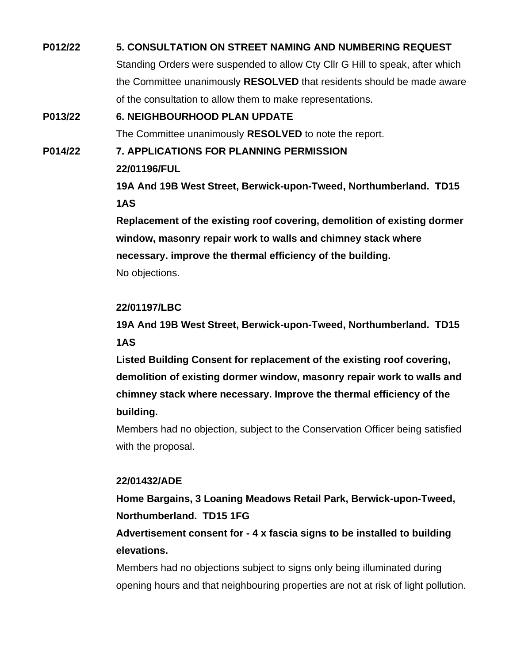# **P012/22 5. CONSULTATION ON STREET NAMING AND NUMBERING REQUEST** Standing Orders were suspended to allow Cty Cllr G Hill to speak, after which the Committee unanimously **RESOLVED** that residents should be made aware of the consultation to allow them to make representations. **P013/22 6. NEIGHBOURHOOD PLAN UPDATE**

The Committee unanimously **RESOLVED** to note the report.

**P014/22 7. APPLICATIONS FOR PLANNING PERMISSION**

**22/01196/FUL**

**19A And 19B West Street, Berwick-upon-Tweed, Northumberland. TD15 1AS**

**Replacement of the existing roof covering, demolition of existing dormer window, masonry repair work to walls and chimney stack where necessary. improve the thermal efficiency of the building.** No objections.

## **22/01197/LBC**

**19A And 19B West Street, Berwick-upon-Tweed, Northumberland. TD15 1AS**

**Listed Building Consent for replacement of the existing roof covering, demolition of existing dormer window, masonry repair work to walls and chimney stack where necessary. Improve the thermal efficiency of the building.**

Members had no objection, subject to the Conservation Officer being satisfied with the proposal.

## **22/01432/ADE**

**Home Bargains, 3 Loaning Meadows Retail Park, Berwick-upon-Tweed, Northumberland. TD15 1FG**

**Advertisement consent for - 4 x fascia signs to be installed to building elevations.**

Members had no objections subject to signs only being illuminated during opening hours and that neighbouring properties are not at risk of light pollution.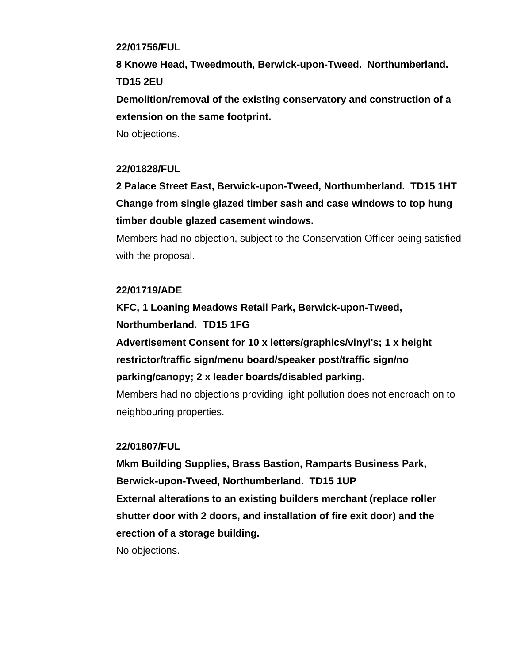#### **22/01756/FUL**

**8 Knowe Head, Tweedmouth, Berwick-upon-Tweed. Northumberland. TD15 2EU**

**Demolition/removal of the existing conservatory and construction of a extension on the same footprint.**

No objections.

#### **22/01828/FUL**

**2 Palace Street East, Berwick-upon-Tweed, Northumberland. TD15 1HT Change from single glazed timber sash and case windows to top hung timber double glazed casement windows.**

Members had no objection, subject to the Conservation Officer being satisfied with the proposal.

#### **22/01719/ADE**

**KFC, 1 Loaning Meadows Retail Park, Berwick-upon-Tweed, Northumberland. TD15 1FG**

**Advertisement Consent for 10 x letters/graphics/vinyl's; 1 x height restrictor/traffic sign/menu board/speaker post/traffic sign/no parking/canopy; 2 x leader boards/disabled parking.**

Members had no objections providing light pollution does not encroach on to neighbouring properties.

#### **22/01807/FUL**

**Mkm Building Supplies, Brass Bastion, Ramparts Business Park, Berwick-upon-Tweed, Northumberland. TD15 1UP External alterations to an existing builders merchant (replace roller shutter door with 2 doors, and installation of fire exit door) and the erection of a storage building.** No objections.